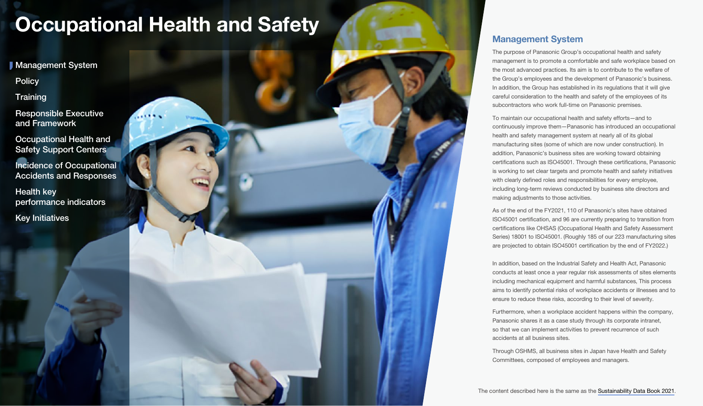<span id="page-0-0"></span>**Management System** 

**[Policy](#page-1-0)** 

**[Training](#page-2-0)** 

[Responsible Executive](#page-2-0)  and Framework

[Occupational Health and](#page-3-0)  Safety Support Centers

[Incidence of Occupational](#page-3-0)  Accidents and Responses

Health key [performance indicators](#page-4-0)

[Key Initiatives](#page-4-0)

# Management System

The purpose of Panasonic Group's occupational health and safety management is to promote a comfortable and safe workplace based on the most advanced practices. Its aim is to contribute to the welfare of the Group's employees and the development of Panasonic's business. In addition, the Group has established in its regulations that it will give careful consideration to the health and safety of the employees of its subcontractors who work full-time on Panasonic premises.

To maintain our occupational health and safety efforts—and to continuously improve them—Panasonic has introduced an occupational health and safety management system at nearly all of its global manufacturing sites (some of which are now under construction). In addition, Panasonic's business sites are working toward obtaining certifications such as ISO45001. Through these certifications, Panasonic is working to set clear targets and promote health and safety initiatives with clearly defined roles and responsibilities for every employee. including long-term reviews conducted by business site directors and making adjustments to those activities.

As of the end of the FY2021, 110 of Panasonic's sites have obtained ISO45001 certification, and 96 are currently preparing to transition from certifications like OHSAS (Occupational Health and Safety Assessment Series) 18001 to ISO45001. (Roughly 185 of our 223 manufacturing sites are projected to obtain ISO45001 certification by the end of FY2022.)

In addition, based on the Industrial Safety and Health Act, Panasonic conducts at least once a year regular risk assessments of sites elements including mechanical equipment and harmful substances, This process aims to identify potential risks of workplace accidents or illnesses and to ensure to reduce these risks, according to their level of severity.

Furthermore, when a workplace accident happens within the company, Panasonic shares it as a case study through its corporate intranet, so that we can implement activities to prevent recurrence of such accidents at all business sites.

Through OSHMS, all business sites in Japan have Health and Safety Committees, composed of employees and managers.

The content described here is the same as the [Sustainability Data Book 2021.](https://holdings.panasonic/global/corporate/sustainability/pdf/sdb2021e.pdf)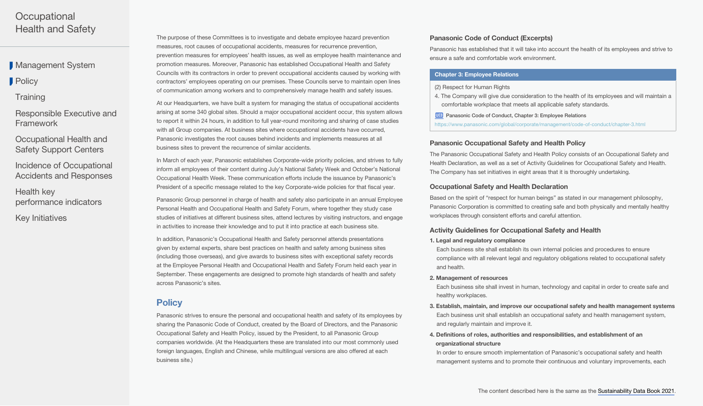<span id="page-1-0"></span>**[Management System](#page-0-0)** 

**Policy** 

**[Training](#page-2-0)** 

[Responsible Executive and](#page-2-0)  Framework

[Occupational Health and](#page-3-0)  Safety Support Centers

[Incidence of Occupational](#page-3-0)  Accidents and Responses

Health key [performance indicators](#page-4-0)

[Key Initiatives](#page-4-0)

The purpose of these Committees is to investigate and debate employee hazard prevention measures, root causes of occupational accidents, measures for recurrence prevention, prevention measures for employees' health issues, as well as employee health maintenance and promotion measures. Moreover, Panasonic has established Occupational Health and Safety Councils with its contractors in order to prevent occupational accidents caused by working with contractors' employees operating on our premises. These Councils serve to maintain open lines of communication among workers and to comprehensively manage health and safety issues.

At our Headquarters, we have built a system for managing the status of occupational accidents arising at some 340 global sites. Should a major occupational accident occur, this system allows to report it within 24 hours, in addition to full year-round monitoring and sharing of case studies with all Group companies. At business sites where occupational accidents have occurred, Panasonic investigates the root causes behind incidents and implements measures at all business sites to prevent the recurrence of similar accidents.

In March of each year, Panasonic establishes Corporate-wide priority policies, and strives to fully inform all employees of their content during July's National Safety Week and October's National Occupational Health Week. These communication efforts include the issuance by Panasonic's President of a specific message related to the key Corporate-wide policies for that fiscal year.

Panasonic Group personnel in charge of health and safety also participate in an annual Employee Personal Health and Occupational Health and Safety Forum, where together they study case studies of initiatives at different business sites, attend lectures by visiting instructors, and engage in activities to increase their knowledge and to put it into practice at each business site.

In addition, Panasonic's Occupational Health and Safety personnel attends presentations given by external experts, share best practices on health and safety among business sites (including those overseas), and give awards to business sites with exceptional safety records at the Employee Personal Health and Occupational Health and Safety Forum held each year in September. These engagements are designed to promote high standards of health and safety across Panasonic's sites.

# **Policy**

Panasonic strives to ensure the personal and occupational health and safety of its employees by sharing the Panasonic Code of Conduct, created by the Board of Directors, and the Panasonic Occupational Safety and Health Policy, issued by the President, to all Panasonic Group companies worldwide. (At the Headquarters these are translated into our most commonly used foreign languages, English and Chinese, while multilingual versions are also offered at each business site.)

## Panasonic Code of Conduct (Excerpts)

Panasonic has established that it will take into account the health of its employees and strive to ensure a safe and comfortable work environment.

#### Chapter 3: Employee Relations

#### (2) Respect for Human Rights

- 4. The Company will give due consideration to the health of its employees and will maintain a comfortable workplace that meets all applicable safety standards.
- **WEB** [Panasonic Code of Conduct, Chapter 3: Employee Relations](https://www.panasonic.com/global/corporate/management/code-of-conduct/chapter-3.html)

<https://www.panasonic.com/global/corporate/management/code-of-conduct/chapter-3.html>

## Panasonic Occupational Safety and Health Policy

The Panasonic Occupational Safety and Health Policy consists of an Occupational Safety and Health Declaration, as well as a set of Activity Guidelines for Occupational Safety and Health. The Company has set initiatives in eight areas that it is thoroughly undertaking.

#### Occupational Safety and Health Declaration

Based on the spirit of "respect for human beings" as stated in our management philosophy, Panasonic Corporation is committed to creating safe and both physically and mentally healthy workplaces through consistent efforts and careful attention.

## Activity Guidelines for Occupational Safety and Health

#### 1. Legal and regulatory compliance

Each business site shall establish its own internal policies and procedures to ensure compliance with all relevant legal and regulatory obligations related to occupational safety and health.

#### 2. Management of resources

Each business site shall invest in human, technology and capital in order to create safe and healthy workplaces.

- 3. Establish, maintain, and improve our occupational safety and health management systems Each business unit shall establish an occupational safety and health management system, and regularly maintain and improve it.
- 4. Definitions of roles, authorities and responsibilities, and establishment of an organizational structure

In order to ensure smooth implementation of Panasonic's occupational safety and health management systems and to promote their continuous and voluntary improvements, each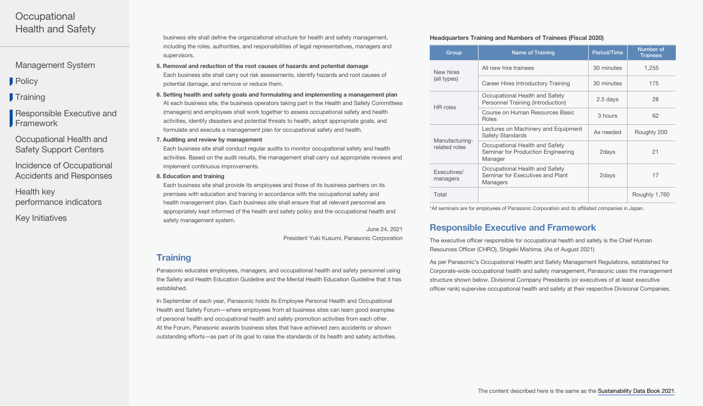<span id="page-2-0"></span>[Management System](#page-0-0)

**[Policy](#page-1-0)** 

**Training** 

Responsible Executive and **Framework** 

[Occupational Health and](#page-3-0)  Safety Support Centers

[Incidence of Occupational](#page-3-0)  Accidents and Responses

Health key [performance indicators](#page-4-0)

[Key Initiatives](#page-4-0)

business site shall define the organizational structure for health and safety management, including the roles, authorities, and responsibilities of legal representatives, managers and supervisors.

- 5. Removal and reduction of the root causes of hazards and potential damage Each business site shall carry out risk assessments, identify hazards and root causes of potential damage, and remove or reduce them.
- 6. Setting health and safety goals and formulating and implementing a management plan At each business site, the business operators taking part in the Health and Safety Committees (managers) and employees shall work together to assess occupational safety and health activities, identify disasters and potential threats to health, adopt appropriate goals, and formulate and execute a management plan for occupational safety and health.
- 7. Auditing and review by management

Each business site shall conduct regular audits to monitor occupational safety and health activities. Based on the audit results, the management shall carry out appropriate reviews and implement continuous improvements.

8. Education and training

Each business site shall provide its employees and those of its business partners on its premises with education and training in accordance with the occupational safety and health management plan. Each business site shall ensure that all relevant personnel are appropriately kept informed of the health and safety policy and the occupational health and safety management system.

June 24, 2021

President Yuki Kusumi, Panasonic Corporation

# **Training**

Panasonic educates employees, managers, and occupational health and safety personnel using the Safety and Health Education Guideline and the Mental Health Education Guideline that it has established.

In September of each year, Panasonic holds its Employee Personal Health and Occupational Health and Safety Forum—where employees from all business sites can learn good examples of personal health and occupational health and safety promotion activities from each other. At the Forum, Panasonic awards business sites that have achieved zero accidents or shown outstanding efforts—as part of its goal to raise the standards of its health and safety activities.

## Headquarters Training and Numbers of Trainees (Fiscal 2020)

| Group                           | <b>Name of Training</b>                                                         | <b>Period/Time</b> | Number of<br><b>Trainees</b> |
|---------------------------------|---------------------------------------------------------------------------------|--------------------|------------------------------|
| New hires<br>(all types)        | All new hire trainees                                                           | 30 minutes         | 1,255                        |
|                                 | Career Hires Introductory Training                                              | 30 minutes         | 175                          |
| HR roles                        | Occupational Health and Safety<br>Personnel Training (Introduction)             | 2.5 days           | 28                           |
|                                 | Course on Human Resources Basic<br>Roles                                        | 3 hours            | 62                           |
| Manufacturing-<br>related roles | Lectures on Machinery and Equipment<br><b>Safety Standards</b>                  | As needed          | Roughly 200                  |
|                                 | Occupational Health and Safety<br>Seminar for Production Engineering<br>Manager | 2days              | 21                           |
| Executives/<br>managers         | Occupational Health and Safety<br>Seminar for Executives and Plant<br>Managers  | 2days              | 17                           |
| Total                           |                                                                                 |                    | Roughly 1,760                |

\*All seminars are for employees of Panasonic Corporation and its affiliated companies in Japan.

# Responsible Executive and Framework

The executive officer responsible for occupational health and safety is the Chief Human Resources Officer (CHRO), Shigeki Mishima. (As of August 2021)

As per Panasonic's Occupational Health and Safety Management Regulations, established for Corporate-wide occupational health and safety management, Panasonic uses the management structure shown below. Divisional Company Presidents (or executives of at least executive officer rank) supervise occupational health and safety at their respective Divisional Companies.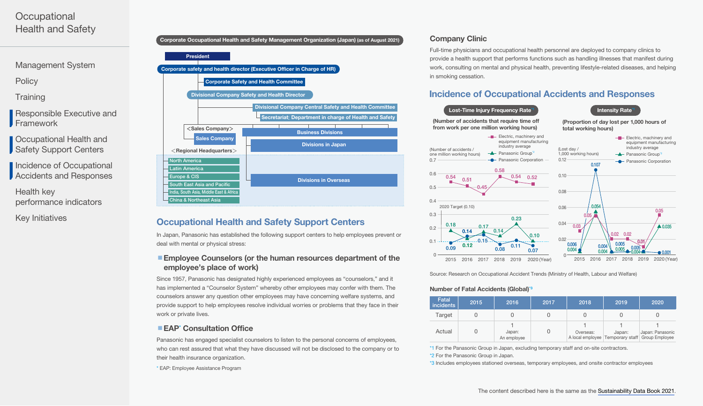<span id="page-3-0"></span>[Management System](#page-0-0)

**[Policy](#page-1-0)** 

**[Training](#page-2-0)** 

[Responsible Executive and](#page-2-0)  Framework

Occupational Health and Safety Support Centers

Incidence of Occupational Accidents and Responses

Health key [performance indicators](#page-4-0)

[Key Initiatives](#page-4-0)



# Occupational Health and Safety Support Centers

In Japan, Panasonic has established the following support centers to help employees prevent or deal with mental or physical stress:

## ■ Employee Counselors (or the human resources department of the employee's place of work)

Since 1957, Panasonic has designated highly experienced employees as "counselors," and it has implemented a "Counselor System" whereby other employees may confer with them. The counselors answer any question other employees may have concerning welfare systems, and provide support to help employees resolve individual worries or problems that they face in their work or private lives.

## **EAP\*** Consultation Office

Panasonic has engaged specialist counselors to listen to the personal concerns of employees, who can rest assured that what they have discussed will not be disclosed to the company or to their health insurance organization.

\* EAP: Employee Assistance Program

# Company Clinic

Full-time physicians and occupational health personnel are deployed to company clinics to provide a health support that performs functions such as handling illnesses that manifest during work, consulting on mental and physical health, preventing lifestyle-related diseases, and helping in smoking cessation.

# Incidence of Occupational Accidents and Responses



Source: Research on Occupational Accident Trends (Ministry of Health, Labour and Welfare)

#### Number of Fatal Accidents (Global)\*3

| Fatal<br><i>incidents</i> | 2015 | 2016                  | 2017 | 2018      | 2019                                                          | 2020             |
|---------------------------|------|-----------------------|------|-----------|---------------------------------------------------------------|------------------|
| Target                    |      |                       |      |           |                                                               |                  |
| Actual                    |      | Japan:<br>An employee |      | Overseas: | Japan:<br>A local employee   Temporary staff   Group Employee | Japan: Panasonic |

\*1 For the Panasonic Group in Japan, excluding temporary staff and on-site contractors. \*2 For the Panasonic Group in Japan.

\*3 Includes employees stationed overseas, temporary employees, and onsite contractor employees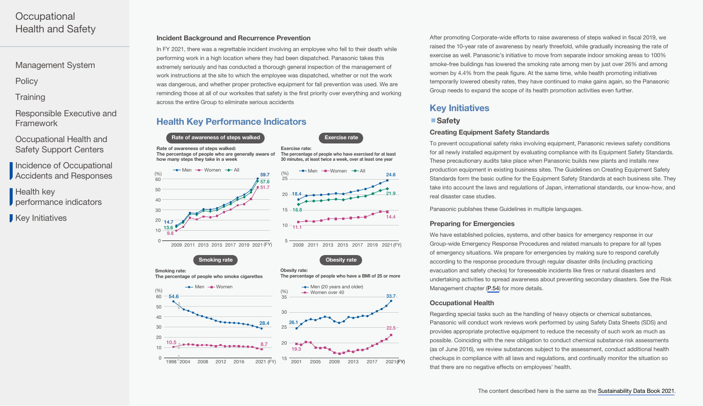<span id="page-4-0"></span>[Management System](#page-0-0)

**[Policy](#page-1-0)** 

**[Training](#page-2-0)** 

- [Responsible Executive and](#page-2-0)  Framework
- [Occupational Health and](#page-3-0)  Safety Support Centers
- [Incidence of Occupational](#page-3-0)  Accidents and Responses
- Health key **performance indicators**

Key Initiatives

## Incident Background and Recurrence Prevention

In FY 2021, there was a regrettable incident involving an employee who fell to their death while performing work in a high location where they had been dispatched. Panasonic takes this extremely seriously and has conducted a thorough general inspection of the management of work instructions at the site to which the employee was dispatched, whether or not the work was dangerous, and whether proper protective equipment for fall prevention was used. We are reminding those at all of our worksites that safety is the first priority over everything and working across the entire Group to eliminate serious accidents

# Health Key Performance Indicators



After promoting Corporate-wide efforts to raise awareness of steps walked in fiscal 2019, we raised the 10-year rate of awareness by nearly threefold, while gradually increasing the rate of exercise as well. Panasonic's initiative to move from separate indoor smoking areas to 100% smoke-free buildings has lowered the smoking rate among men by just over 26% and among women by 4.4% from the peak figure. At the same time, while health promoting initiatives temporarily lowered obesity rates, they have continued to make gains again, so the Panasonic Group needs to expand the scope of its health promotion activities even further.

# Key Initiatives

## ■ Safety

## Creating Equipment Safety Standards

To prevent occupational safety risks involving equipment, Panasonic reviews safety conditions for all newly installed equipment by evaluating compliance with its Equipment Safety Standards. These precautionary audits take place when Panasonic builds new plants and installs new production equipment in existing business sites. The Guidelines on Creating Equipment Safety Standards form the basic outline for the Equipment Safety Standards at each business site. They take into account the laws and regulations of Japan, international standards, our know-how, and real disaster case studies.

Panasonic publishes these Guidelines in multiple languages.

## Preparing for Emergencies

We have established policies, systems, and other basics for emergency response in our Group-wide Emergency Response Procedures and related manuals to prepare for all types of emergency situations. We prepare for emergencies by making sure to respond carefully according to the response procedure through regular disaster drills (including practicing evacuation and safety checks) for foreseeable incidents like fires or natural disasters and undertaking activities to spread awareness about preventing secondary disasters. See the Risk Management chapter ([P.54\)](https://holdings.panasonic/global/corporate/sustainability/pdf/sdb202204e-riskmanagement.pdf) for more details.

## Occupational Health

Regarding special tasks such as the handling of heavy objects or chemical substances, Panasonic will conduct work reviews work performed by using Safety Data Sheets (SDS) and provides appropriate protective equipment to reduce the necessity of such work as much as possible. Coinciding with the new obligation to conduct chemical substance risk assessments (as of June 2016), we review substances subject to the assessment, conduct additional health checkups in compliance with all laws and regulations, and continually monitor the situation so that there are no negative effects on employees' health.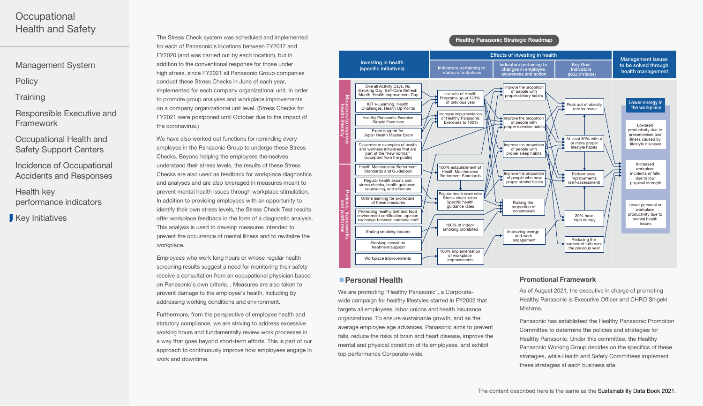[Management System](#page-0-0)

**[Policy](#page-1-0)** 

**[Training](#page-2-0)** 

[Responsible Executive and](#page-2-0)  Framework

[Occupational Health and](#page-3-0)  Safety Support Centers

[Incidence of Occupational](#page-3-0)  Accidents and Responses

Health key [performance indicators](#page-4-0)

[Key Initiatives](#page-4-0)

The Stress Check system was scheduled and implemented for each of Panasonic's locations between FY2017 and FY2020 (and was carried out by each location), but in addition to the conventional response for those under high stress, since FY2021 all Panasonic Group companies conduct these Stress Checks in June of each year, implemented for each company organizational unit, in order to promote group analyses and workplace improvements on a company organizational unit level. (Stress Checks for FY2021 were postponed until October due to the impact of the coronavirus.)

We have also worked out functions for reminding every employee in the Panasonic Group to undergo these Stress Checks. Beyond helping the employees themselves understand their stress levels, the results of these Stress Checks are also used as feedback for workplace diagnostics and analyses and are also leveraged in measures meant to prevent mental health issues through workplace stimulation. In addition to providing employees with an opportunity to identify their own stress levels, the Stress Check Test results offer workplace feedback in the form of a diagnostic analysis. This analysis is used to develop measures intended to prevent the occurrence of mental illness and to revitalize the workplace.

Employees who work long hours or whose regular health screening results suggest a need for monitoring their safety receive a consultation from an occupational physician based on Panasonic's own criteria. , Measures are also taken to prevent damage to the employee's health, including by addressing working conditions and environment.

Furthermore, from the perspective of employee health and statutory compliance, we are striving to address excessive working hours and fundamentally review work processes in a way that goes beyond short-term efforts. This is part of our approach to continuously improve how employees engage in work and downtime.





## ■ Personal Health

We are promoting "Healthy Panasonic", a Corporatewide campaign for healthy lifestyles started in FY2002 that targets all employees, labor unions and health insurance organizations. To ensure sustainable growth, and as the average employee age advances, Panasonic aims to prevent falls, reduce the risks of brain and heart disease, improve the mental and physical condition of its employees, and exhibit top performance Corporate-wide.

## Promotional Framework

As of August 2021, the executive in charge of promoting Healthy Panasonic is Executive Officer and CHRO Shigeki Mishima.

Panasonic has established the Healthy Panasonic Promotion Committee to determine the policies and strategies for Healthy Panasonic. Under this committee, the Healthy Panasonic Working Group decides on the specifics of these strategies, while Health and Safety Committees implement these strategies at each business site.